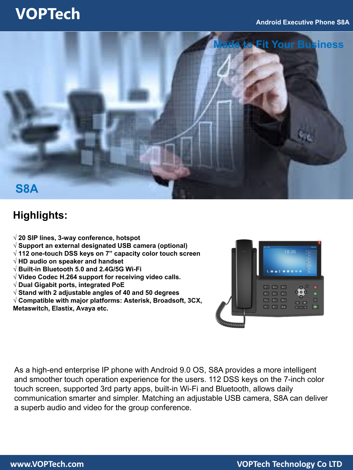### **VOPTech**



### **Highlights:**

- **√ 20 SIP lines, 3-way conference, hotspot**
- **√ Support an external designated USB camera (optional)**
- **√ 112 one-touch DSS keys on 7" capacity color touch screen**
- **√ HD audio on speaker and handset**
- **√ Built-in Bluetooth 5.0 and 2.4G/5G Wi-Fi**
- **√ Video Codec H.264 support for receiving video calls.**
- **√ Dual Gigabit ports, integrated PoE**
- **√ Stand with 2 adjustable angles of 40 and 50 degrees**
- **√ Compatible with major platforms: Asterisk, Broadsoft, 3CX, Metaswitch, Elastix, Avaya etc.**



As a high-end enterprise IP phone with Android 9.0 OS, S8A provides a more intelligent and smoother touch operation experience for the users. 112 DSS keys on the 7-inch color touch screen, supported 3rd party apps, built-in Wi-Fi and Bluetooth, allows daily communication smarter and simpler. Matching an adjustable USB camera, S8A can deliver a superb audio and video for the group conference.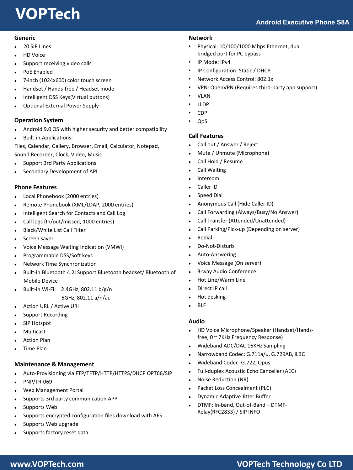# **VOPTech**

#### **Generic**

- 20 SIP Lines
- HD Voice
- Support receiving video calls
- PoE Enabled
- 7-inch (1024x600) color touch screen
- Handset / Hands-free / Headset mode
- Intelligent DSS Keys(Virtual buttons)
- Optional External Power Supply

#### **Operation System**

- Android 9.0 OS with higher security and better compatibility
- Built-in Applications:

Files, Calendar, Gallery, Browser, Email, Calculator, Notepad, Sound Recorder, Clock, Video, Music

- Support 3rd Party Applications
- Secondary Development of API

#### **Phone Features**

- Local Phonebook (2000 entries)
- Remote Phonebook (XML/LDAP, 2000 entries)
- Intelligent Search for Contacts and Call Log
- Call logs (In/out/missed, 1000 entries)
- Black/White List Call Filter
- Screen saver
- Voice Message Waiting Indication (VMWI)
- Programmable DSS/Soft keys
- Network Time Synchronization
- Built-in Bluetooth 4.2: Support Bluetooth headset/ Bluetooth of Mobile Device
- Built-in Wi-Fi: 2.4GHz, 802.11 b/g/n

5GHz, 802.11 a/n/ac

- Action URL / Active URI
- Support Recording
- SIP Hotspot
- Multicast
- Action Plan
- Time Plan

#### **Maintenance & Management**

- Auto-Provisioning via FTP/TFTP/HTTP/HTTPS/DHCP OPT66/SIP
- PNP/TR-069
- Web Management Portal
- Supports 3rd party communication APP
- Supports Web
- Supports encrypted configuration files download with AES
- Supports Web upgrade
- Supports factory reset data

#### **Network**

- Physical: 10/100/1000 Mbps Ethernet, dual bridged port for PC bypass
- IP Mode: IPv4
- IP Configuration: Static / DHCP
- Network Access Control: 802.1x
- VPN: OpenVPN (Requires third-party app support)
- VLAN
- LLDP
- CDP
- QoS

#### **Call Features**

- Call out / Answer / Reject
- Mute / Unmute (Microphone)
- Call Hold / Resume
- Call Waiting
- Intercom
- Caller ID
- Speed Dial
- Anonymous Call (Hide Caller ID)
- Call Forwarding (Always/Busy/No Answer)
- Call Transfer (Attended/Unattended)
- Call Parking/Pick-up (Depending on server)
- Redial
- Do-Not-Disturb
- Auto-Answering
- Voice Message (On server)
- 3-way Audio Conference
- Hot Line/Warm Line
- Direct IP call
- Hot desking
- BLF

#### **Audio**

- HD Voice Microphone/Speaker (Handset/Handsfree, 0 ~ 7KHz Frequency Response)
- Wideband ADC/DAC 16KHz Sampling
- Narrowband Codec: G.711a/u, G.729AB, iLBC
- Wideband Codec: G.722, Opus
- Full-duplex Acoustic Echo Canceller (AEC)
- Noise Reduction (NR)
- Packet Loss Concealment (PLC)
- Dynamic Adaptive Jitter Buffer
- DTMF: In-band, Out-of-Band DTMF-Relay(RFC2833) / SIP INFO

### **www.VOPTech.com VOPTech Technology Co LTD**